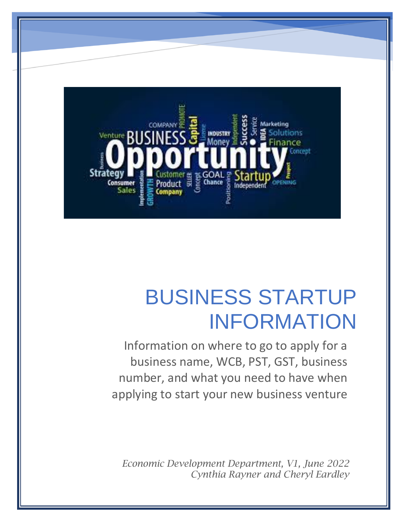

# BUSINESS STARTUP INFORMATION

Information on where to go to apply for a business name, WCB, PST, GST, business number, and what you need to have when applying to start your new business venture

*Economic Development Department, V1, June 2022 Cynthia Rayner and Cheryl Eardley*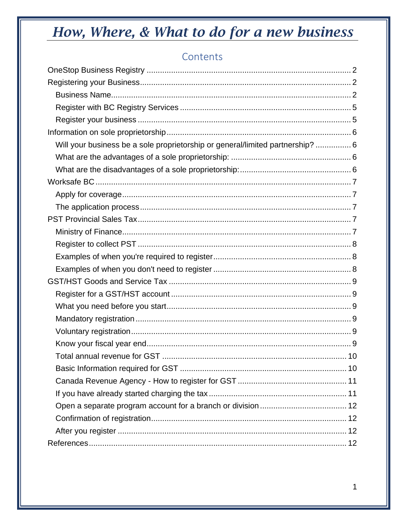### Contents

| Will your business be a sole proprietorship or general/limited partnership?  6 |
|--------------------------------------------------------------------------------|
|                                                                                |
|                                                                                |
|                                                                                |
|                                                                                |
|                                                                                |
|                                                                                |
|                                                                                |
|                                                                                |
|                                                                                |
|                                                                                |
|                                                                                |
|                                                                                |
|                                                                                |
|                                                                                |
|                                                                                |
|                                                                                |
|                                                                                |
|                                                                                |
|                                                                                |
|                                                                                |
|                                                                                |
|                                                                                |
|                                                                                |
|                                                                                |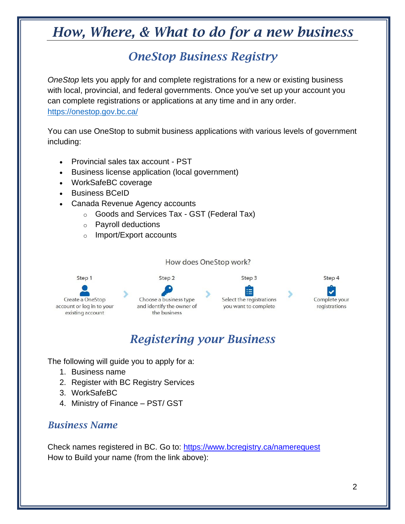## *OneStop Business Registry*

<span id="page-2-0"></span>*OneStop* lets you apply for and complete registrations for a new or existing business with local, provincial, and federal governments. Once you've set up your account you can complete registrations or applications at any time and in any order. <https://onestop.gov.bc.ca/>

You can use OneStop to submit business applications with various levels of government including:

- Provincial sales tax account PST
- Business license application (local government)
- WorkSafeBC coverage
- Business BCeID
- Canada Revenue Agency accounts
	- o Goods and Services Tax GST (Federal Tax)
	- o Payroll deductions
	- o Import/Export accounts

How does OneStop work?



## *Registering your Business*

<span id="page-2-1"></span>The following will guide you to apply for a:

- 1. Business name
- 2. Register with BC Registry Services
- 3. WorkSafeBC
- 4. Ministry of Finance PST/ GST

#### <span id="page-2-2"></span>*Business Name*

Check names registered in BC. Go to:<https://www.bcregistry.ca/namerequest> How to Build your name (from the link above):

Step 4

Complete your

registrations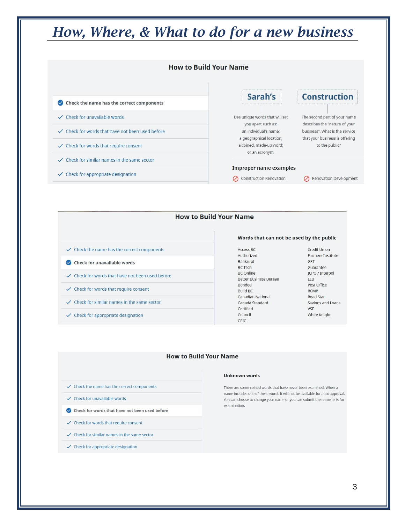

#### **How to Build Your Name**

- $\checkmark$  Check the name has the correct components Check for unavailable words ✓ Check for words that have not been used before  $\checkmark$  Check for words that require consent  $\checkmark$  Check for similar names in the same sector
- $\checkmark$  Check for appropriate designation

#### Words that can not be used by the public

Access BC Authorized Bankrupt **BC Tech BC** Online Better Business Bureau Bonded Build BC Canadian National Canada Standard Certified Council CPIC

Credit Union Farmers Institute GST Guarantee ICPO / Interpol  $LLB$ Post Office **RCMP** Road Star Savings and Loans **VSE** White Knight

#### **How to Build Your Name**

- $\checkmark$  Check the name has the correct components
- $\checkmark$  Check for unavailable words
- Check for words that have not been used before
- $\checkmark$  Check for words that require consent
- $\checkmark$  Check for similar names in the same sector
- $\checkmark$  Check for appropriate designation

#### **Unknown words**

There are some coined words that have never been examined. When a name includes one of these words it will not be available for auto approval. You can choose to change your name or you can submit the name as is for examination.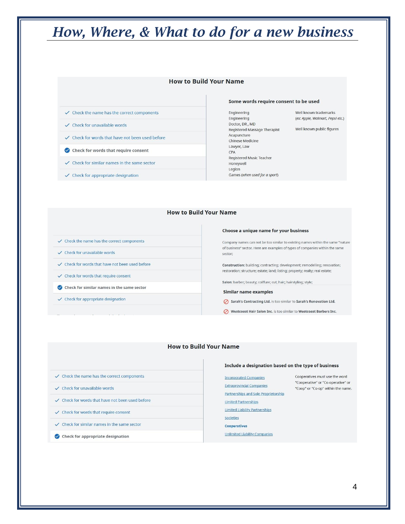#### **How to Build Your Name**

- $\checkmark$  Check the name has the correct components
- $\checkmark$  Check for unavailable words
- $\checkmark$  Check for words that have not been used before
- Check for words that require consent
- $\checkmark$  Check for similar names in the same sector
- $\checkmark$  Check for appropriate designation

#### Some words require consent to be used

Engineering Engineering Doctor, DR, MD Registered Massage Therapist Acupuncture Chinese Medicine Lawyer, Law CPA Registered Music Teacher Honeywell Legion Games (when used for a sport)

Well known trademarks (ex: Apple, Walmart, Pepsi etc.)

Well known public figures

#### **How to Build Your Name**

- $\checkmark$  Check the name has the correct components
- $\checkmark$  Check for unavailable words
- ✓ Check for words that have not been used before
- $\checkmark$  Check for words that require consent
- Check for similar names in the same sector
- $\checkmark$  Check for appropriate designation

#### Choose a unique name for your business

Company names can not be too similar to existing names within the same "nature of business" sector. Here are examples of types of companies within the same sector:

Construction: building; contracting; development; remodelling; renovation; restoration; structure; estate; land; listing; property; realty; real estate;

Salon: barber; beauty; coiffure; cut; hair; hairstyling; style;

#### Similar name examples

Sarah's Contracting Ltd. is too similar to Sarah's Renovation Ltd.

Westcoast Hair Salon Inc. is too similar to Westcoast Barbers Inc.

#### **How to Build Your Name**

- $\checkmark$  Check the name has the correct components
- $\checkmark$  Check for unavailable words
- ✓ Check for words that have not been used before
- $\checkmark$  Check for words that require consent
- $\checkmark$  Check for similar names in the same sector
- $\bullet$  Check for appropriate designation

#### Include a designation based on the type of business

Cooperatives must use the word "Cooperative" or "Co-operative" or

"Coop" or "Co-op" within the name.

**Incorporated Companies Extraprovincial Companies** Partnerships and Sole Proprietorship **Limited Partnerships Limited Liability Partnerships** Societies Cooperatives

**Unlimited Liability Companies**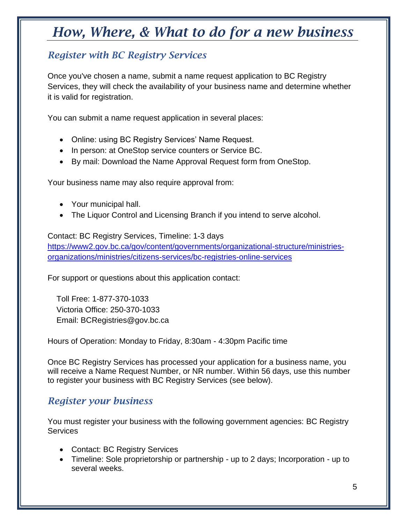### <span id="page-5-0"></span>*Register with BC Registry Services*

Once you've chosen a name, submit a name request application to BC Registry Services, they will check the availability of your business name and determine whether it is valid for registration.

You can submit a name request application in several places:

- Online: using BC Registry Services' Name Request.
- In person: at OneStop service counters or Service BC.
- By mail: Download the Name Approval Request form from OneStop.

Your business name may also require approval from:

- Your municipal hall.
- The Liquor Control and Licensing Branch if you intend to serve alcohol.

#### Contact: BC Registry Services, Timeline: 1-3 days

[https://www2.gov.bc.ca/gov/content/governments/organizational-structure/ministries](https://www2.gov.bc.ca/gov/content/governments/organizational-structure/ministries-organizations/ministries/citizens-services/bc-registries-online-services)[organizations/ministries/citizens-services/bc-registries-online-services](https://www2.gov.bc.ca/gov/content/governments/organizational-structure/ministries-organizations/ministries/citizens-services/bc-registries-online-services)

For support or questions about this application contact:

 Toll Free: 1-877-370-1033 Victoria Office: 250-370-1033 Email: BCRegistries@gov.bc.ca

Hours of Operation: Monday to Friday, 8:30am - 4:30pm Pacific time

Once BC Registry Services has processed your application for a business name, you will receive a Name Request Number, or NR number. Within 56 days, use this number to register your business with BC Registry Services (see below).

#### <span id="page-5-1"></span>*Register your business*

You must register your business with the following government agencies: BC Registry Services

- Contact: BC Registry Services
- Timeline: Sole proprietorship or partnership up to 2 days; Incorporation up to several weeks.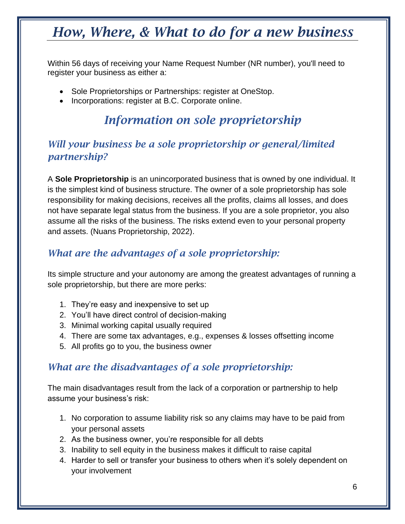Within 56 days of receiving your Name Request Number (NR number), you'll need to register your business as either a:

- Sole Proprietorships or Partnerships: register at OneStop.
- <span id="page-6-0"></span>• Incorporations: register at B.C. Corporate online.

## *Information on sole proprietorship*

### <span id="page-6-1"></span>*Will your business be a sole proprietorship or general/limited partnership?*

A **Sole Proprietorship** is an unincorporated business that is owned by one individual. It is the simplest kind of business structure. The owner of a sole proprietorship has sole responsibility for making decisions, receives all the profits, claims all losses, and does not have separate legal status from the business. If you are a sole proprietor, you also assume all the risks of the business. The risks extend even to your personal property and assets. (Nuans Proprietorship, 2022).

### <span id="page-6-2"></span>*What are the advantages of a sole proprietorship:*

Its simple structure and your autonomy are among the greatest advantages of running a sole proprietorship, but there are more perks:

- 1. They're easy and inexpensive to set up
- 2. You'll have direct control of decision-making
- 3. Minimal working capital usually required
- 4. There are some tax advantages, e.g., expenses & losses offsetting income
- 5. All profits go to you, the business owner

### <span id="page-6-3"></span>*What are the disadvantages of a sole proprietorship:*

The main disadvantages result from the lack of a corporation or partnership to help assume your business's risk:

- 1. No corporation to assume liability risk so any claims may have to be paid from your personal assets
- 2. As the business owner, you're responsible for all debts
- 3. Inability to sell equity in the business makes it difficult to raise capital
- 4. Harder to sell or transfer your business to others when it's solely dependent on your involvement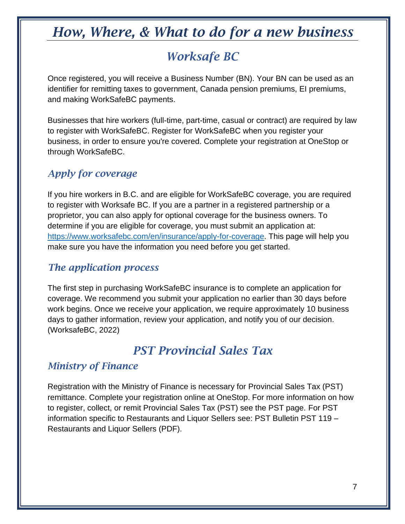## *Worksafe BC*

<span id="page-7-0"></span>Once registered, you will receive a Business Number (BN). Your BN can be used as an identifier for remitting taxes to government, Canada pension premiums, EI premiums, and making WorkSafeBC payments.

Businesses that hire workers (full-time, part-time, casual or contract) are required by law to register with WorkSafeBC. Register for WorkSafeBC when you register your business, in order to ensure you're covered. Complete your registration at OneStop or through WorkSafeBC.

### <span id="page-7-1"></span>*Apply for coverage*

If you hire workers in B.C. and are eligible for WorkSafeBC coverage, you are required to register with Worksafe BC. If you are a partner in a registered partnership or a proprietor, you can also apply for optional coverage for the business owners. To determine if you are eligible for coverage, you must submit an application at: [https://www.worksafebc.com/en/insurance/apply-for-coverage.](https://www.worksafebc.com/en/insurance/apply-for-coverage) This page will help you make sure you have the information you need before you get started.

#### <span id="page-7-2"></span>*The application process*

The first step in purchasing WorkSafeBC insurance is to complete an application for coverage. We recommend you submit your application no earlier than 30 days before work begins. Once we receive your application, we require approximately 10 business days to gather information, review your application, and notify you of our decision. (WorksafeBC, 2022)

## *PST Provincial Sales Tax*

### <span id="page-7-4"></span><span id="page-7-3"></span>*Ministry of Finance*

Registration with the Ministry of Finance is necessary for Provincial Sales Tax (PST) remittance. Complete your registration online at OneStop. For more information on how to register, collect, or remit Provincial Sales Tax (PST) see the PST page. For PST information specific to Restaurants and Liquor Sellers see: PST Bulletin PST 119 – Restaurants and Liquor Sellers (PDF).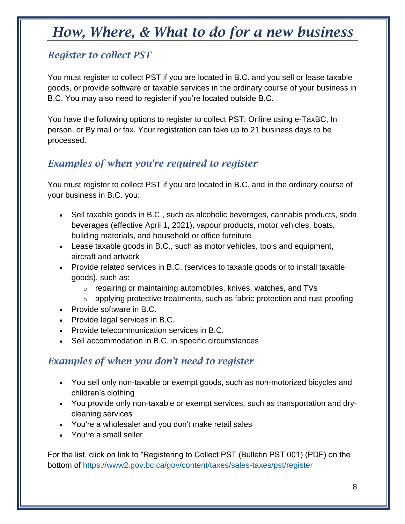### <span id="page-8-0"></span>*Register to collect PST*

You must register to collect PST if you are located in B.C. and you sell or lease taxable goods, or provide software or taxable services in the ordinary course of your business in B.C. You may also need to register if you're located outside B.C.

You have the following options to register to collect PST: Online using e-TaxBC, In person, or By mail or fax. Your registration can take up to 21 business days to be processed.

### <span id="page-8-1"></span>*Examples of when you're required to register*

You must register to collect PST if you are located in B.C. and in the ordinary course of your business in B.C. you:

- Sell taxable goods in B.C., such as alcoholic beverages, cannabis products, soda beverages (effective April 1, 2021), vapour products, motor vehicles, boats, building materials, and household or office furniture
- Lease taxable goods in B.C., such as motor vehicles, tools and equipment, aircraft and artwork
- Provide related services in B.C. (services to taxable goods or to install taxable goods), such as:
	- $\circ$  repairing or maintaining automobiles, knives, watches, and TVs
	- $\circ$  applying protective treatments, such as fabric protection and rust proofing
- Provide software in B.C.
- Provide legal services in B.C.
- Provide telecommunication services in B.C.
- Sell accommodation in B.C. in specific circumstances

### <span id="page-8-2"></span>*Examples of when you don't need to register*

- You sell only non-taxable or exempt goods, such as non-motorized bicycles and children's clothing
- You provide only non-taxable or exempt services, such as transportation and drycleaning services
- You're a wholesaler and you don't make retail sales
- You're a small seller

For the list, click on link to "Registering to Collect PST (Bulletin PST 001) (PDF) on the bottom of<https://www2.gov.bc.ca/gov/content/taxes/sales-taxes/pst/register>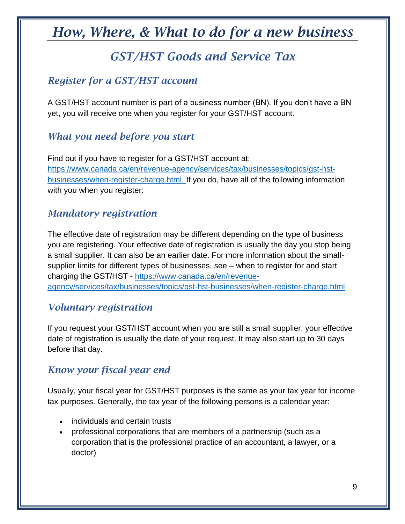## *GST/HST Goods and Service Tax*

### <span id="page-9-1"></span><span id="page-9-0"></span>*Register for a GST/HST account*

A GST/HST account number is part of a business number (BN). If you don't have a BN yet, you will receive one when you register for your GST/HST account.

#### <span id="page-9-2"></span>*What you need before you start*

Find out if you have to register for a GST/HST account at: [https://www.canada.ca/en/revenue-agency/services/tax/businesses/topics/gst-hst](https://www.canada.ca/en/revenue-agency/services/tax/businesses/topics/gst-hst-businesses/when-register-charge.html)[businesses/when-register-charge.html.](https://www.canada.ca/en/revenue-agency/services/tax/businesses/topics/gst-hst-businesses/when-register-charge.html) If you do, have all of the following information with you when you register:

#### <span id="page-9-3"></span>*Mandatory registration*

The effective date of registration may be different depending on the type of business you are registering. Your effective date of registration is usually the day you stop being a small supplier. It can also be an earlier date. For more information about the smallsupplier limits for different types of businesses, see – when to register for and start charging the GST/HST - [https://www.canada.ca/en/revenue](https://www.canada.ca/en/revenue-agency/services/tax/businesses/topics/gst-hst-businesses/when-register-charge.html)[agency/services/tax/businesses/topics/gst-hst-businesses/when-register-charge.html](https://www.canada.ca/en/revenue-agency/services/tax/businesses/topics/gst-hst-businesses/when-register-charge.html)

#### <span id="page-9-4"></span>*Voluntary registration*

If you request your GST/HST account when you are still a small supplier, your effective date of registration is usually the date of your request. It may also start up to 30 days before that day.

### <span id="page-9-5"></span>*Know your fiscal year end*

Usually, your fiscal year for GST/HST purposes is the same as your tax year for income tax purposes. Generally, the tax year of the following persons is a calendar year:

- individuals and certain trusts
- professional corporations that are members of a partnership (such as a corporation that is the professional practice of an accountant, a lawyer, or a doctor)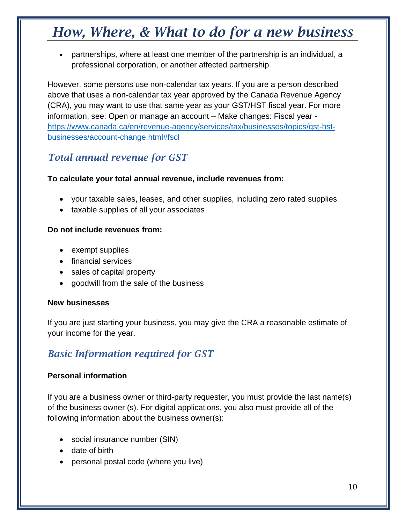• partnerships, where at least one member of the partnership is an individual, a professional corporation, or another affected partnership

However, some persons use non-calendar tax years. If you are a person described above that uses a non-calendar tax year approved by the Canada Revenue Agency (CRA), you may want to use that same year as your GST/HST fiscal year. For more information, see: Open or manage an account – Make changes: Fiscal year [https://www.canada.ca/en/revenue-agency/services/tax/businesses/topics/gst-hst](https://www.canada.ca/en/revenue-agency/services/tax/businesses/topics/gst-hst-businesses/account-change.html#fscl)[businesses/account-change.html#fscl](https://www.canada.ca/en/revenue-agency/services/tax/businesses/topics/gst-hst-businesses/account-change.html#fscl)

### <span id="page-10-0"></span>*Total annual revenue for GST*

#### **To calculate your total annual revenue, include revenues from:**

- your taxable sales, leases, and other supplies, including zero rated supplies
- taxable supplies of all your associates

#### **Do not include revenues from:**

- exempt supplies
- financial services
- sales of capital property
- goodwill from the sale of the business

#### **New businesses**

If you are just starting your business, you may give the CRA a reasonable estimate of your income for the year.

### <span id="page-10-1"></span>*Basic Information required for GST*

#### **Personal information**

If you are a business owner or third-party requester, you must provide the last name(s) of the business owner (s). For digital applications, you also must provide all of the following information about the business owner(s):

- social insurance number (SIN)
- date of birth
- personal postal code (where you live)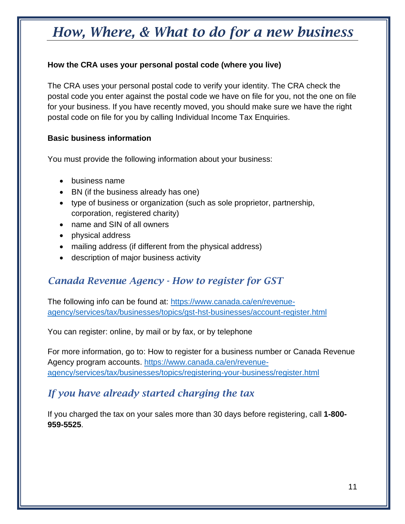#### **How the CRA uses your personal postal code (where you live)**

The CRA uses your personal postal code to verify your identity. The CRA check the postal code you enter against the postal code we have on file for you, not the one on file for your business. If you have recently moved, you should make sure we have the right postal code on file for you by calling Individual Income Tax Enquiries.

#### **Basic business information**

You must provide the following information about your business:

- business name
- BN (if the business already has one)
- type of business or organization (such as sole proprietor, partnership, corporation, registered charity)
- name and SIN of all owners
- physical address
- mailing address (if different from the physical address)
- description of major business activity

### <span id="page-11-0"></span>*Canada Revenue Agency - How to register for GST*

The following info can be found at: [https://www.canada.ca/en/revenue](https://www.canada.ca/en/revenue-agency/services/tax/businesses/topics/gst-hst-businesses/account-register.html)[agency/services/tax/businesses/topics/gst-hst-businesses/account-register.html](https://www.canada.ca/en/revenue-agency/services/tax/businesses/topics/gst-hst-businesses/account-register.html)

You can register: online, by mail or by fax, or by telephone

For more information, go to: [How to register for a business number or Canada Revenue](https://www.canada.ca/en/revenue-agency/services/tax/businesses/topics/registering-your-business/register.html)  [Agency program accounts. https://www.canada.ca/en/revenue](https://www.canada.ca/en/revenue-agency/services/tax/businesses/topics/registering-your-business/register.html)[agency/services/tax/businesses/topics/registering-your-business/register.html](https://www.canada.ca/en/revenue-agency/services/tax/businesses/topics/registering-your-business/register.html)

#### <span id="page-11-1"></span>*If you have already started charging the tax*

If you charged the tax on your sales more than 30 days before registering, call **1-800- 959-5525**.